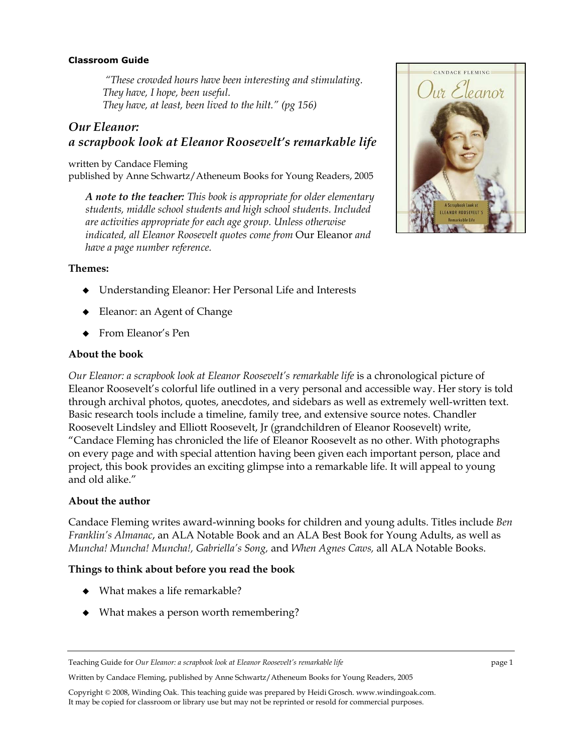### **Classroom Guide**

 *"These crowded hours have been interesting and stimulating. They have, I hope, been useful. They have, at least, been lived to the hilt." (pg 156)* 

# *Our Eleanor: a scrapbook look at Eleanor Roosevelt's remarkable life*

written by Candace Fleming published by Anne Schwartz/Atheneum Books for Young Readers, 2005

*A note to the teacher: This book is appropriate for older elementary students, middle school students and high school students. Included are activities appropriate for each age group. Unless otherwise indicated, all Eleanor Roosevelt quotes come from* Our Eleanor *and have a page number reference.* 



- Understanding Eleanor: Her Personal Life and Interests
- Eleanor: an Agent of Change
- From Eleanor's Pen

#### **About the book**

*Our Eleanor: a scrapbook look at Eleanor Roosevelt's remarkable life* is a chronological picture of Eleanor Roosevelt's colorful life outlined in a very personal and accessible way. Her story is told through archival photos, quotes, anecdotes, and sidebars as well as extremely well-written text. Basic research tools include a timeline, family tree, and extensive source notes. Chandler Roosevelt Lindsley and Elliott Roosevelt, Jr (grandchildren of Eleanor Roosevelt) write, "Candace Fleming has chronicled the life of Eleanor Roosevelt as no other. With photographs on every page and with special attention having been given each important person, place and project, this book provides an exciting glimpse into a remarkable life. It will appeal to young and old alike."

### **About the author**

Candace Fleming writes award-winning books for children and young adults. Titles include *Ben Franklin's Almanac*, an ALA Notable Book and an ALA Best Book for Young Adults, as well as *Muncha! Muncha! Muncha!, Gabriella's Song,* and *When Agnes Caws,* all ALA Notable Books.

### **Things to think about before you read the book**

- What makes a life remarkable?
- What makes a person worth remembering?

Written by Candace Fleming, published by Anne Schwartz/Atheneum Books for Young Readers, 2005



Teaching Guide for *Our Eleanor: a scrapbook look at Eleanor Roosevelt's remarkable life* page 1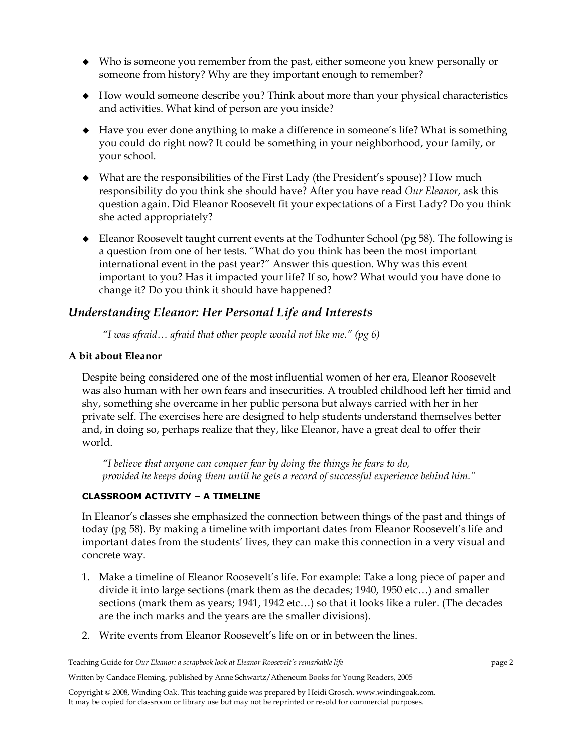- Who is someone you remember from the past, either someone you knew personally or someone from history? Why are they important enough to remember?
- How would someone describe you? Think about more than your physical characteristics and activities. What kind of person are you inside?
- Have you ever done anything to make a difference in someone's life? What is something you could do right now? It could be something in your neighborhood, your family, or your school.
- What are the responsibilities of the First Lady (the President's spouse)? How much responsibility do you think she should have? After you have read *Our Eleanor*, ask this question again. Did Eleanor Roosevelt fit your expectations of a First Lady? Do you think she acted appropriately?
- Eleanor Roosevelt taught current events at the Todhunter School (pg 58). The following is a question from one of her tests. "What do you think has been the most important international event in the past year?" Answer this question. Why was this event important to you? Has it impacted your life? If so, how? What would you have done to change it? Do you think it should have happened?

# *Understanding Eleanor: Her Personal Life and Interests*

*"I was afraid… afraid that other people would not like me." (pg 6)* 

## **A bit about Eleanor**

Despite being considered one of the most influential women of her era, Eleanor Roosevelt was also human with her own fears and insecurities. A troubled childhood left her timid and shy, something she overcame in her public persona but always carried with her in her private self. The exercises here are designed to help students understand themselves better and, in doing so, perhaps realize that they, like Eleanor, have a great deal to offer their world.

*"I believe that anyone can conquer fear by doing the things he fears to do, provided he keeps doing them until he gets a record of successful experience behind him."* 

# **CLASSROOM ACTIVITY – A TIMELINE**

In Eleanor's classes she emphasized the connection between things of the past and things of today (pg 58). By making a timeline with important dates from Eleanor Roosevelt's life and important dates from the students' lives, they can make this connection in a very visual and concrete way.

- 1. Make a timeline of Eleanor Roosevelt's life. For example: Take a long piece of paper and divide it into large sections (mark them as the decades; 1940, 1950 etc…) and smaller sections (mark them as years; 1941, 1942 etc…) so that it looks like a ruler. (The decades are the inch marks and the years are the smaller divisions).
- 2. Write events from Eleanor Roosevelt's life on or in between the lines.

Written by Candace Fleming, published by Anne Schwartz/Atheneum Books for Young Readers, 2005

Teaching Guide for *Our Eleanor: a scrapbook look at Eleanor Roosevelt's remarkable life* page 2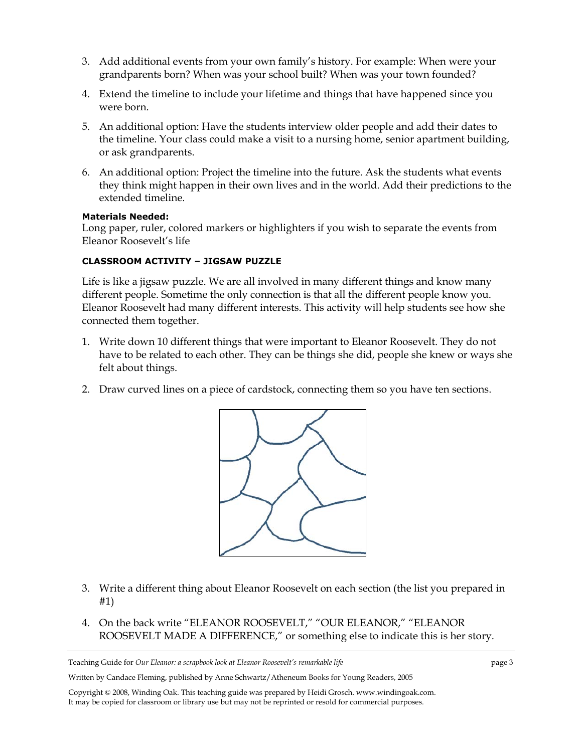- 3. Add additional events from your own family's history. For example: When were your grandparents born? When was your school built? When was your town founded?
- 4. Extend the timeline to include your lifetime and things that have happened since you were born.
- 5. An additional option: Have the students interview older people and add their dates to the timeline. Your class could make a visit to a nursing home, senior apartment building, or ask grandparents.
- 6. An additional option: Project the timeline into the future. Ask the students what events they think might happen in their own lives and in the world. Add their predictions to the extended timeline.

### **Materials Needed:**

Long paper, ruler, colored markers or highlighters if you wish to separate the events from Eleanor Roosevelt's life

## **CLASSROOM ACTIVITY – JIGSAW PUZZLE**

Life is like a jigsaw puzzle. We are all involved in many different things and know many different people. Sometime the only connection is that all the different people know you. Eleanor Roosevelt had many different interests. This activity will help students see how she connected them together.

- 1. Write down 10 different things that were important to Eleanor Roosevelt. They do not have to be related to each other. They can be things she did, people she knew or ways she felt about things.
- 2. Draw curved lines on a piece of cardstock, connecting them so you have ten sections.



- 3. Write a different thing about Eleanor Roosevelt on each section (the list you prepared in #1)
- 4. On the back write "ELEANOR ROOSEVELT," "OUR ELEANOR," "ELEANOR ROOSEVELT MADE A DIFFERENCE," or something else to indicate this is her story.

Teaching Guide for *Our Eleanor: a scrapbook look at Eleanor Roosevelt's remarkable life* page 3

Written by Candace Fleming, published by Anne Schwartz/Atheneum Books for Young Readers, 2005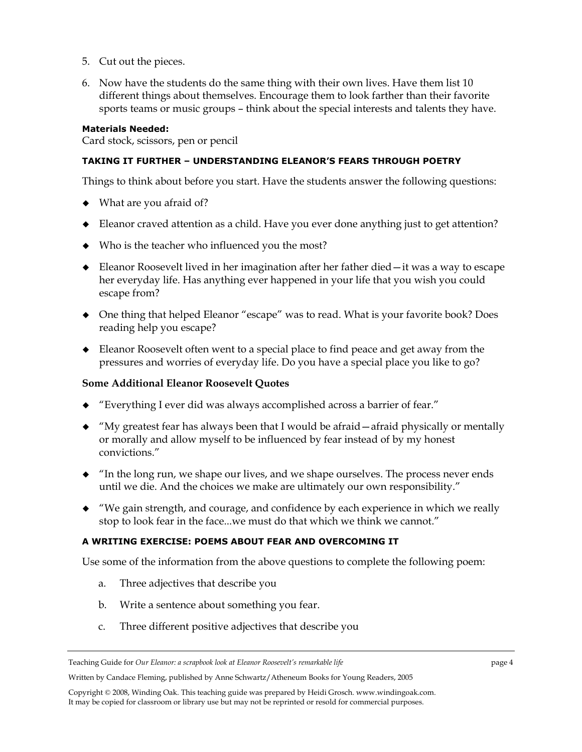- 5. Cut out the pieces.
- 6. Now have the students do the same thing with their own lives. Have them list 10 different things about themselves. Encourage them to look farther than their favorite sports teams or music groups – think about the special interests and talents they have.

### **Materials Needed:**

Card stock, scissors, pen or pencil

### **TAKING IT FURTHER – UNDERSTANDING ELEANOR'S FEARS THROUGH POETRY**

Things to think about before you start. Have the students answer the following questions:

- What are you afraid of?
- Eleanor craved attention as a child. Have you ever done anything just to get attention?
- Who is the teacher who influenced you the most?
- Eleanor Roosevelt lived in her imagination after her father died—it was a way to escape her everyday life. Has anything ever happened in your life that you wish you could escape from?
- One thing that helped Eleanor "escape" was to read. What is your favorite book? Does reading help you escape?
- Eleanor Roosevelt often went to a special place to find peace and get away from the pressures and worries of everyday life. Do you have a special place you like to go?

### **Some Additional Eleanor Roosevelt Quotes**

- "Everything I ever did was always accomplished across a barrier of fear."
- "My greatest fear has always been that I would be afraid—afraid physically or mentally or morally and allow myself to be influenced by fear instead of by my honest convictions."
- "In the long run, we shape our lives, and we shape ourselves. The process never ends until we die. And the choices we make are ultimately our own responsibility."
- "We gain strength, and courage, and confidence by each experience in which we really stop to look fear in the face...we must do that which we think we cannot."

### **A WRITING EXERCISE: POEMS ABOUT FEAR AND OVERCOMING IT**

Use some of the information from the above questions to complete the following poem:

- a. Three adjectives that describe you
- b. Write a sentence about something you fear.
- c. Three different positive adjectives that describe you

Written by Candace Fleming, published by Anne Schwartz/Atheneum Books for Young Readers, 2005

Teaching Guide for *Our Eleanor: a scrapbook look at Eleanor Roosevelt's remarkable life* page 4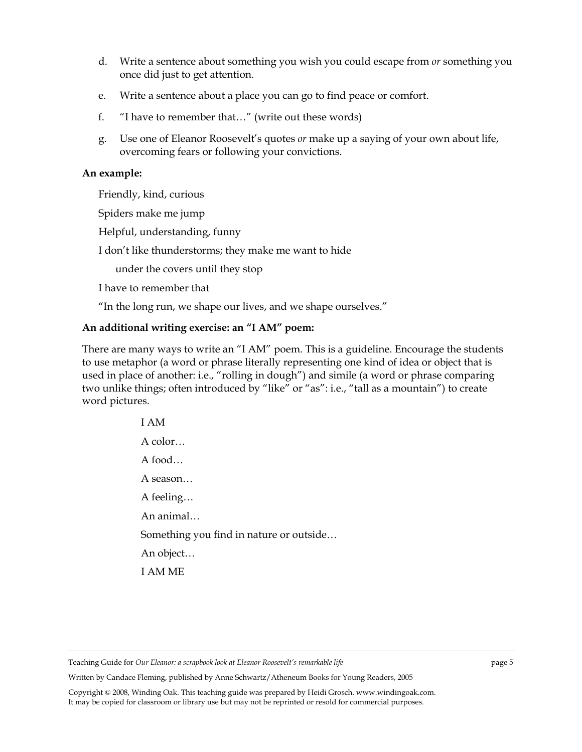- d. Write a sentence about something you wish you could escape from *or* something you once did just to get attention.
- e. Write a sentence about a place you can go to find peace or comfort.
- f. "I have to remember that…" (write out these words)
- g. Use one of Eleanor Roosevelt's quotes *or* make up a saying of your own about life, overcoming fears or following your convictions.

### **An example:**

Friendly, kind, curious

Spiders make me jump

Helpful, understanding, funny

I don't like thunderstorms; they make me want to hide

under the covers until they stop

I have to remember that

"In the long run, we shape our lives, and we shape ourselves."

## **An additional writing exercise: an "I AM" poem:**

There are many ways to write an "I AM" poem. This is a guideline. Encourage the students to use metaphor (a word or phrase literally representing one kind of idea or object that is used in place of another: i.e., "rolling in dough") and simile (a word or phrase comparing two unlike things; often introduced by "like" or "as": i.e., "tall as a mountain") to create word pictures.

> I AM A color… A food… A season… A feeling… An animal… Something you find in nature or outside… An object… I AM ME

Teaching Guide for *Our Eleanor: a scrapbook look at Eleanor Roosevelt's remarkable life* page 5

Written by Candace Fleming, published by Anne Schwartz/Atheneum Books for Young Readers, 2005

Copyright © 2008, Winding Oak. This teaching guide was prepared by Heidi Grosch. www.windingoak.com. It may be copied for classroom or library use but may not be reprinted or resold for commercial purposes.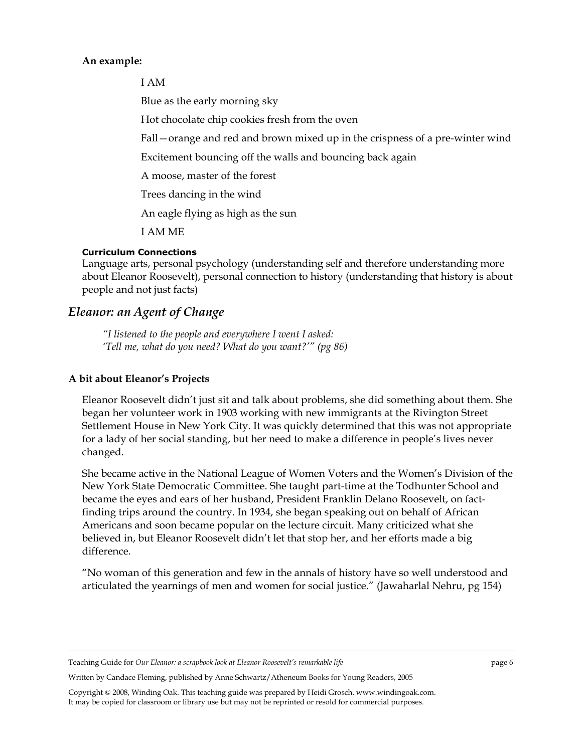## **An example:**

I AM

Blue as the early morning sky

Hot chocolate chip cookies fresh from the oven

Fall—orange and red and brown mixed up in the crispness of a pre-winter wind

Excitement bouncing off the walls and bouncing back again

A moose, master of the forest

Trees dancing in the wind

An eagle flying as high as the sun

I AM ME

## **Curriculum Connections**

Language arts, personal psychology (understanding self and therefore understanding more about Eleanor Roosevelt), personal connection to history (understanding that history is about people and not just facts)

# *Eleanor: an Agent of Change*

*"I listened to the people and everywhere I went I asked: 'Tell me, what do you need? What do you want?'" (pg 86)* 

# **A bit about Eleanor's Projects**

Eleanor Roosevelt didn't just sit and talk about problems, she did something about them. She began her volunteer work in 1903 working with new immigrants at the Rivington Street Settlement House in New York City. It was quickly determined that this was not appropriate for a lady of her social standing, but her need to make a difference in people's lives never changed.

She became active in the National League of Women Voters and the Women's Division of the New York State Democratic Committee. She taught part-time at the Todhunter School and became the eyes and ears of her husband, President Franklin Delano Roosevelt, on factfinding trips around the country. In 1934, she began speaking out on behalf of African Americans and soon became popular on the lecture circuit. Many criticized what she believed in, but Eleanor Roosevelt didn't let that stop her, and her efforts made a big difference.

"No woman of this generation and few in the annals of history have so well understood and articulated the yearnings of men and women for social justice." (Jawaharlal Nehru, pg 154)

Teaching Guide for *Our Eleanor: a scrapbook look at Eleanor Roosevelt's remarkable life* page 6

Written by Candace Fleming, published by Anne Schwartz/Atheneum Books for Young Readers, 2005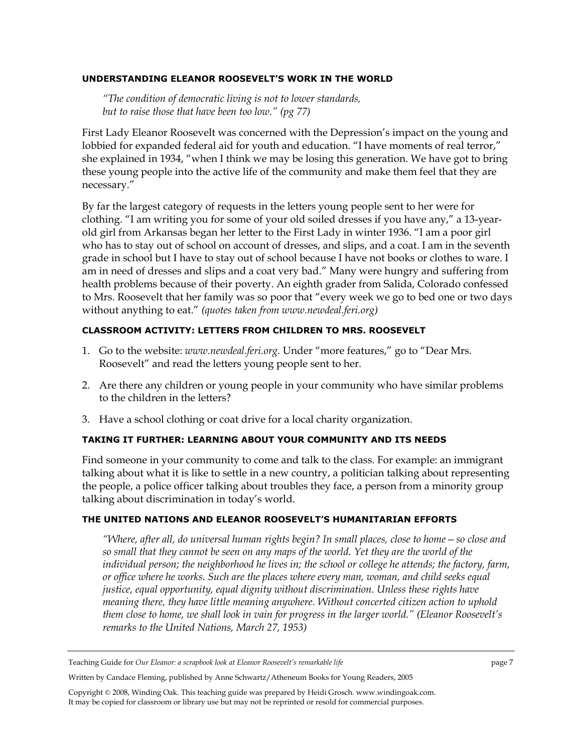### **UNDERSTANDING ELEANOR ROOSEVELT'S WORK IN THE WORLD**

*"The condition of democratic living is not to lower standards, but to raise those that have been too low." (pg 77)* 

First Lady Eleanor Roosevelt was concerned with the Depression's impact on the young and lobbied for expanded federal aid for youth and education. "I have moments of real terror," she explained in 1934, "when I think we may be losing this generation. We have got to bring these young people into the active life of the community and make them feel that they are necessary."

By far the largest category of requests in the letters young people sent to her were for clothing. "I am writing you for some of your old soiled dresses if you have any," a 13-yearold girl from Arkansas began her letter to the First Lady in winter 1936. "I am a poor girl who has to stay out of school on account of dresses, and slips, and a coat. I am in the seventh grade in school but I have to stay out of school because I have not books or clothes to ware. I am in need of dresses and slips and a coat very bad." Many were hungry and suffering from health problems because of their poverty. An eighth grader from Salida, Colorado confessed to Mrs. Roosevelt that her family was so poor that "every week we go to bed one or two days without anything to eat." *(quotes taken from www.newdeal.feri.org)* 

## **CLASSROOM ACTIVITY: LETTERS FROM CHILDREN TO MRS. ROOSEVELT**

- 1. Go to the website: *www.newdeal.feri.org.* Under "more features," go to "Dear Mrs. Roosevelt" and read the letters young people sent to her.
- 2. Are there any children or young people in your community who have similar problems to the children in the letters?
- 3. Have a school clothing or coat drive for a local charity organization.

### **TAKING IT FURTHER: LEARNING ABOUT YOUR COMMUNITY AND ITS NEEDS**

Find someone in your community to come and talk to the class. For example: an immigrant talking about what it is like to settle in a new country, a politician talking about representing the people, a police officer talking about troubles they face, a person from a minority group talking about discrimination in today's world.

### **THE UNITED NATIONS AND ELEANOR ROOSEVELT'S HUMANITARIAN EFFORTS**

*"Where, after all, do universal human rights begin? In small places, close to home—so close and so small that they cannot be seen on any maps of the world. Yet they are the world of the individual person; the neighborhood he lives in; the school or college he attends; the factory, farm, or office where he works. Such are the places where every man, woman, and child seeks equal justice, equal opportunity, equal dignity without discrimination. Unless these rights have meaning there, they have little meaning anywhere. Without concerted citizen action to uphold them close to home, we shall look in vain for progress in the larger world." (Eleanor Roosevelt's remarks to the United Nations, March 27, 1953)* 

Written by Candace Fleming, published by Anne Schwartz/Atheneum Books for Young Readers, 2005

Teaching Guide for *Our Eleanor: a scrapbook look at Eleanor Roosevelt's remarkable life* page 7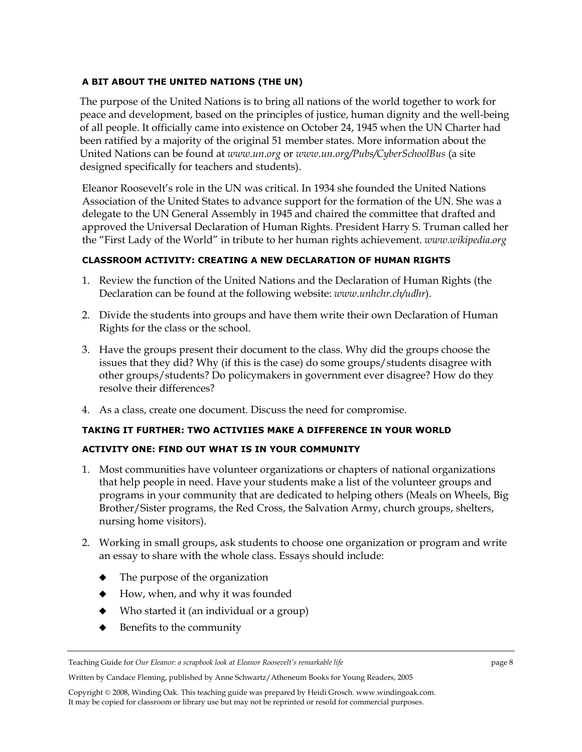## **A BIT ABOUT THE UNITED NATIONS (THE UN)**

The purpose of the United Nations is to bring all nations of the world together to work for peace and development, based on the principles of justice, human dignity and the well-being of all people. It officially came into existence on October 24, 1945 when the UN Charter had been ratified by a majority of the original 51 member states. More information about the United Nations can be found at *www.un.org* or *www.un.org/Pubs/CyberSchoolBus* (a site designed specifically for teachers and students).

Eleanor Roosevelt's role in the UN was critical. In 1934 she founded the United Nations Association of the United States to advance support for the formation of the UN. She was a delegate to the UN General Assembly in 1945 and chaired the committee that drafted and approved the Universal Declaration of Human Rights. President Harry S. Truman called her the "First Lady of the World" in tribute to her human rights achievement. *www.wikipedia.org*

## **CLASSROOM ACTIVITY: CREATING A NEW DECLARATION OF HUMAN RIGHTS**

- 1. Review the function of the United Nations and the Declaration of Human Rights (the Declaration can be found at the following website: *www.unhchr.ch/udhr*).
- 2. Divide the students into groups and have them write their own Declaration of Human Rights for the class or the school.
- 3. Have the groups present their document to the class. Why did the groups choose the issues that they did? Why (if this is the case) do some groups/students disagree with other groups/students? Do policymakers in government ever disagree? How do they resolve their differences?
- 4. As a class, create one document. Discuss the need for compromise.

## **TAKING IT FURTHER: TWO ACTIVIIES MAKE A DIFFERENCE IN YOUR WORLD**

## **ACTIVITY ONE: FIND OUT WHAT IS IN YOUR COMMUNITY**

- 1. Most communities have volunteer organizations or chapters of national organizations that help people in need. Have your students make a list of the volunteer groups and programs in your community that are dedicated to helping others (Meals on Wheels, Big Brother/Sister programs, the Red Cross, the Salvation Army, church groups, shelters, nursing home visitors).
- 2. Working in small groups, ask students to choose one organization or program and write an essay to share with the whole class. Essays should include:
	- The purpose of the organization
	- How, when, and why it was founded
	- Who started it (an individual or a group)
	- $\blacklozenge$  Benefits to the community

Written by Candace Fleming, published by Anne Schwartz/Atheneum Books for Young Readers, 2005

Teaching Guide for *Our Eleanor: a scrapbook look at Eleanor Roosevelt's remarkable life* page 8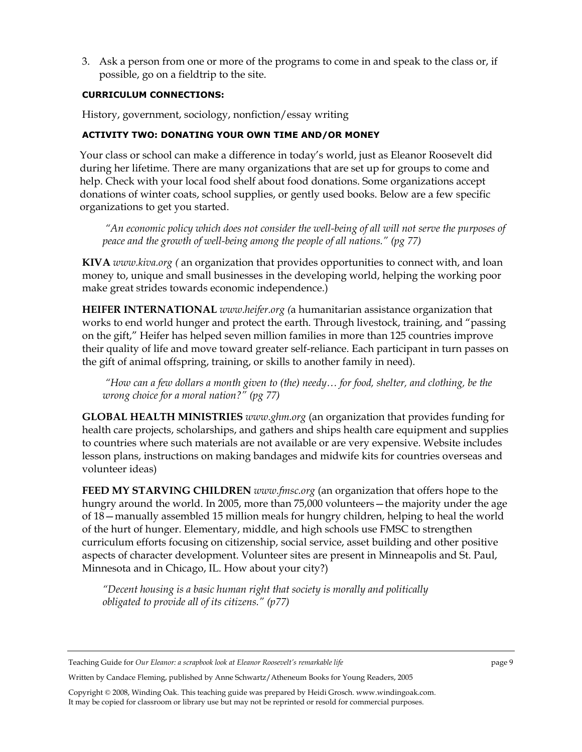3. Ask a person from one or more of the programs to come in and speak to the class or, if possible, go on a fieldtrip to the site.

## **CURRICULUM CONNECTIONS:**

History, government, sociology, nonfiction/essay writing

## **ACTIVITY TWO: DONATING YOUR OWN TIME AND/OR MONEY**

Your class or school can make a difference in today's world, just as Eleanor Roosevelt did during her lifetime. There are many organizations that are set up for groups to come and help. Check with your local food shelf about food donations. Some organizations accept donations of winter coats, school supplies, or gently used books. Below are a few specific organizations to get you started.

 *"An economic policy which does not consider the well-being of all will not serve the purposes of peace and the growth of well-being among the people of all nations." (pg 77)* 

**KIVA** *www.kiva.org (* an organization that provides opportunities to connect with, and loan money to, unique and small businesses in the developing world, helping the working poor make great strides towards economic independence.)

**HEIFER INTERNATIONAL** *www.heifer.org (*a humanitarian assistance organization that works to end world hunger and protect the earth. Through livestock, training, and "passing on the gift," Heifer has helped seven million families in more than 125 countries improve their quality of life and move toward greater self-reliance. Each participant in turn passes on the gift of animal offspring, training, or skills to another family in need).

 *"How can a few dollars a month given to (the) needy… for food, shelter, and clothing, be the wrong choice for a moral nation?" (pg 77)* 

**GLOBAL HEALTH MINISTRIES** *www.ghm.org* (an organization that provides funding for health care projects, scholarships, and gathers and ships health care equipment and supplies to countries where such materials are not available or are very expensive. Website includes lesson plans, instructions on making bandages and midwife kits for countries overseas and volunteer ideas)

**FEED MY STARVING CHILDREN** *www.fmsc.org* (an organization that offers hope to the hungry around the world. In 2005, more than 75,000 volunteers—the majority under the age of 18—manually assembled 15 million meals for hungry children, helping to heal the world of the hurt of hunger. Elementary, middle, and high schools use FMSC to strengthen curriculum efforts focusing on citizenship, social service, asset building and other positive aspects of character development. Volunteer sites are present in Minneapolis and St. Paul, Minnesota and in Chicago, IL. How about your city?)

*"Decent housing is a basic human right that society is morally and politically obligated to provide all of its citizens." (p77)* 

Written by Candace Fleming, published by Anne Schwartz/Atheneum Books for Young Readers, 2005

Teaching Guide for *Our Eleanor: a scrapbook look at Eleanor Roosevelt's remarkable life* page 9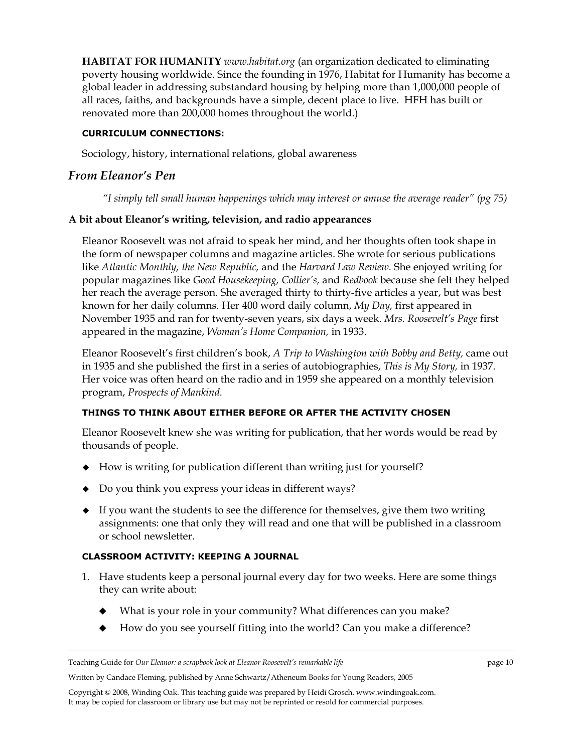**HABITAT FOR HUMANITY** *www.habitat.org* (an organization dedicated to eliminating poverty housing worldwide. Since the founding in 1976, Habitat for Humanity has become a global leader in addressing substandard housing by helping more than 1,000,000 people of all races, faiths, and backgrounds have a simple, decent place to live. HFH has built or renovated more than 200,000 homes throughout the world.)

## **CURRICULUM CONNECTIONS:**

Sociology, history, international relations, global awareness

# *From Eleanor's Pen*

*"I simply tell small human happenings which may interest or amuse the average reader" (pg 75)* 

# **A bit about Eleanor's writing, television, and radio appearances**

Eleanor Roosevelt was not afraid to speak her mind, and her thoughts often took shape in the form of newspaper columns and magazine articles. She wrote for serious publications like *Atlantic Monthly, the New Republic,* and the *Harvard Law Review.* She enjoyed writing for popular magazines like *Good Housekeeping, Collier's,* and *Redbook* because she felt they helped her reach the average person. She averaged thirty to thirty-five articles a year, but was best known for her daily columns. Her 400 word daily column, *My Day,* first appeared in November 1935 and ran for twenty-seven years, six days a week. *Mrs. Roosevelt's Page* first appeared in the magazine, *Woman's Home Companion,* in 1933.

Eleanor Roosevelt's first children's book, *A Trip to Washington with Bobby and Betty,* came out in 1935 and she published the first in a series of autobiographies, *This is My Story,* in 1937. Her voice was often heard on the radio and in 1959 she appeared on a monthly television program, *Prospects of Mankind.* 

# **THINGS TO THINK ABOUT EITHER BEFORE OR AFTER THE ACTIVITY CHOSEN**

Eleanor Roosevelt knew she was writing for publication, that her words would be read by thousands of people.

- How is writing for publication different than writing just for yourself?
- Do you think you express your ideas in different ways?
- $\bullet$  If you want the students to see the difference for themselves, give them two writing assignments: one that only they will read and one that will be published in a classroom or school newsletter.

# **CLASSROOM ACTIVITY: KEEPING A JOURNAL**

- 1. Have students keep a personal journal every day for two weeks. Here are some things they can write about:
	- What is your role in your community? What differences can you make?
	- How do you see yourself fitting into the world? Can you make a difference?

Written by Candace Fleming, published by Anne Schwartz/Atheneum Books for Young Readers, 2005

Teaching Guide for *Our Eleanor: a scrapbook look at Eleanor Roosevelt's remarkable life* page 10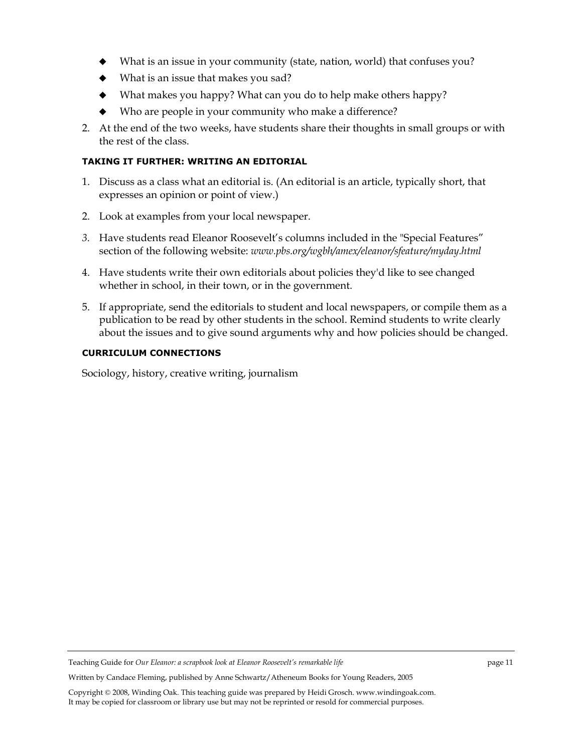- What is an issue in your community (state, nation, world) that confuses you?
- What is an issue that makes you sad?
- What makes you happy? What can you do to help make others happy?
- Who are people in your community who make a difference?
- 2. At the end of the two weeks, have students share their thoughts in small groups or with the rest of the class.

## **TAKING IT FURTHER: WRITING AN EDITORIAL**

- 1. Discuss as a class what an editorial is. (An editorial is an article, typically short, that expresses an opinion or point of view.)
- 2. Look at examples from your local newspaper.
- *3.* Have students read Eleanor Roosevelt's columns included in the "Special Features" section of the following website: *www.pbs.org/wgbh/amex/eleanor/sfeature/myday.html*
- 4. Have students write their own editorials about policies they'd like to see changed whether in school, in their town, or in the government.
- 5. If appropriate, send the editorials to student and local newspapers, or compile them as a publication to be read by other students in the school. Remind students to write clearly about the issues and to give sound arguments why and how policies should be changed.

## **CURRICULUM CONNECTIONS**

Sociology, history, creative writing, journalism

Teaching Guide for *Our Eleanor: a scrapbook look at Eleanor Roosevelt's remarkable life* page 11

Written by Candace Fleming, published by Anne Schwartz/Atheneum Books for Young Readers, 2005

Copyright © 2008, Winding Oak. This teaching guide was prepared by Heidi Grosch. www.windingoak.com. It may be copied for classroom or library use but may not be reprinted or resold for commercial purposes.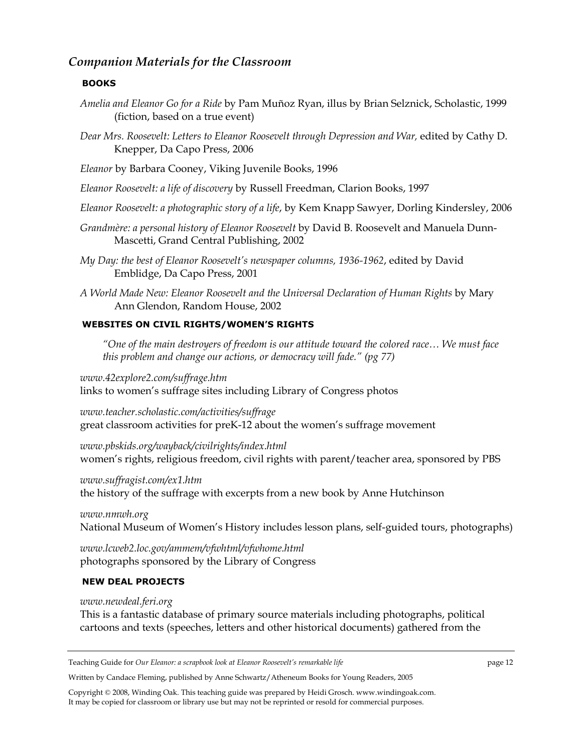# *Companion Materials for the Classroom*

## **BOOKS**

- *Amelia and Eleanor Go for a Ride* by Pam Muñoz Ryan, illus by Brian Selznick, Scholastic, 1999 (fiction, based on a true event)
- Dear Mrs. Roosevelt: Letters to Eleanor Roosevelt through Depression and War, edited by Cathy D. Knepper, Da Capo Press, 2006
- *Eleanor* by Barbara Cooney, Viking Juvenile Books, 1996
- *Eleanor Roosevelt: a life of discovery* by Russell Freedman, Clarion Books, 1997
- *Eleanor Roosevelt: a photographic story of a life*, by Kem Knapp Sawyer, Dorling Kindersley, 2006
- *Grandmère: a personal history of Eleanor Roosevelt* by David B. Roosevelt and Manuela Dunn-Mascetti, Grand Central Publishing, 2002
- *My Day: the best of Eleanor Roosevelt's newspaper columns, 1936-1962*, edited by David Emblidge, Da Capo Press, 2001
- *A World Made New: Eleanor Roosevelt and the Universal Declaration of Human Rights* by Mary Ann Glendon, Random House, 2002

## **WEBSITES ON CIVIL RIGHTS/WOMEN'S RIGHTS**

*"One of the main destroyers of freedom is our attitude toward the colored race… We must face this problem and change our actions, or democracy will fade." (pg 77)* 

*www.42explore2.com/suffrage.htm* links to women's suffrage sites including Library of Congress photos

*www.teacher.scholastic.com/activities/suffrage* great classroom activities for preK-12 about the women's suffrage movement

*www.pbskids.org/wayback/civilrights/index.html* women's rights, religious freedom, civil rights with parent/teacher area, sponsored by PBS

#### *www.suffragist.com/ex1.htm*

the history of the suffrage with excerpts from a new book by Anne Hutchinson

*www.nmwh.org*  National Museum of Women's History includes lesson plans, self-guided tours, photographs)

*www.lcweb2.loc.gov/ammem/vfwhtml/vfwhome.html* photographs sponsored by the Library of Congress

### **NEW DEAL PROJECTS**

#### *www.newdeal.feri.org*

This is a fantastic database of primary source materials including photographs, political cartoons and texts (speeches, letters and other historical documents) gathered from the

Teaching Guide for *Our Eleanor: a scrapbook look at Eleanor Roosevelt's remarkable life* page 12

Written by Candace Fleming, published by Anne Schwartz/Atheneum Books for Young Readers, 2005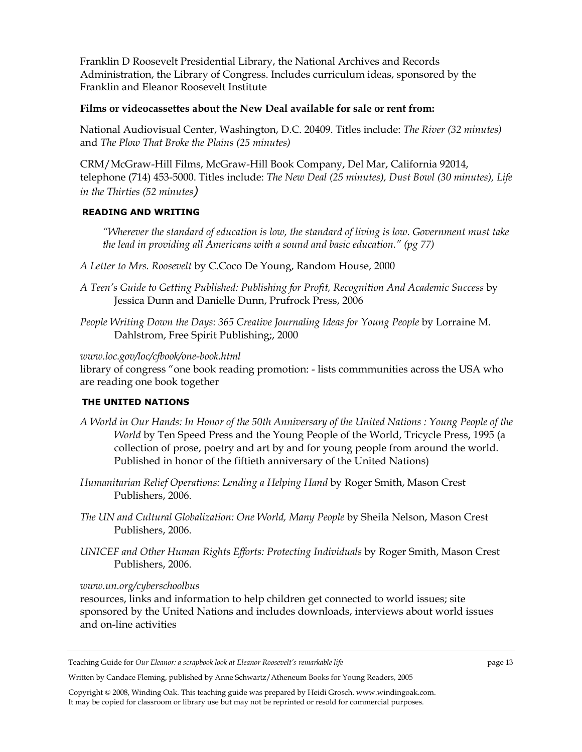Franklin D Roosevelt Presidential Library, the National Archives and Records Administration, the Library of Congress. Includes curriculum ideas, sponsored by the Franklin and Eleanor Roosevelt Institute

## **Films or videocassettes about the New Deal available for sale or rent from:**

National Audiovisual Center, Washington, D.C. 20409. Titles include: *The River (32 minutes)*  and *The Plow That Broke the Plains (25 minutes)* 

CRM/McGraw-Hill Films, McGraw-Hill Book Company, Del Mar, California 92014, telephone (714) 453-5000. Titles include: *The New Deal (25 minutes), Dust Bowl (30 minutes), Life in the Thirties (52 minutes)* 

## **READING AND WRITING**

*"Wherever the standard of education is low, the standard of living is low. Government must take the lead in providing all Americans with a sound and basic education." (pg 77)* 

- *A Letter to Mrs. Roosevelt* by C.Coco De Young, Random House, 2000
- *A Teen's Guide to Getting Published: Publishing for Profit, Recognition And Academic Success* by Jessica Dunn and Danielle Dunn, Prufrock Press, 2006
- *People Writing Down the Days: 365 Creative Journaling Ideas for Young People* by Lorraine M. Dahlstrom, Free Spirit Publishing;, 2000

### *www.loc.gov/loc/cfbook/one-book.html*

library of congress "one book reading promotion: - lists commmunities across the USA who are reading one book together

## **THE UNITED NATIONS**

- *A World in Our Hands: In Honor of the 50th Anniversary of the United Nations : Young People of the World* by Ten Speed Press and the Young People of the World, Tricycle Press, 1995 (a collection of prose, poetry and art by and for young people from around the world. Published in honor of the fiftieth anniversary of the United Nations)
- *Humanitarian Relief Operations: Lending a Helping Hand* by Roger Smith, Mason Crest Publishers, 2006.
- *The UN and Cultural Globalization: One World, Many People* by Sheila Nelson, Mason Crest Publishers, 2006.
- *UNICEF and Other Human Rights Efforts: Protecting Individuals* by Roger Smith, Mason Crest Publishers, 2006.

### *www.un.org/cyberschoolbus*

resources, links and information to help children get connected to world issues; site sponsored by the United Nations and includes downloads, interviews about world issues and on-line activities

Written by Candace Fleming, published by Anne Schwartz/Atheneum Books for Young Readers, 2005

Teaching Guide for *Our Eleanor: a scrapbook look at Eleanor Roosevelt's remarkable life* page 13